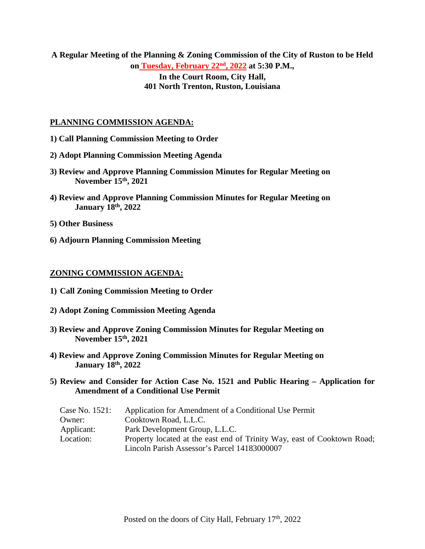**A Regular Meeting of the Planning & Zoning Commission of the City of Ruston to be Held on Tuesday, February 22nd, 2022 at 5:30 P.M.,**

**In the Court Room, City Hall, 401 North Trenton, Ruston, Louisiana**

#### **PLANNING COMMISSION AGENDA:**

- **1) Call Planning Commission Meeting to Order**
- **2) Adopt Planning Commission Meeting Agenda**
- **3) Review and Approve Planning Commission Minutes for Regular Meeting on November 15th, 2021**
- **4) Review and Approve Planning Commission Minutes for Regular Meeting on January 18th, 2022**
- **5) Other Business**
- **6) Adjourn Planning Commission Meeting**

#### **ZONING COMMISSION AGENDA:**

- **1) Call Zoning Commission Meeting to Order**
- **2) Adopt Zoning Commission Meeting Agenda**
- **3) Review and Approve Zoning Commission Minutes for Regular Meeting on November 15th, 2021**
- **4) Review and Approve Zoning Commission Minutes for Regular Meeting on January 18th, 2022**

### **5) Review and Consider for Action Case No. 1521 and Public Hearing – Application for Amendment of a Conditional Use Permit**

| Case No. 1521: | Application for Amendment of a Conditional Use Permit                   |
|----------------|-------------------------------------------------------------------------|
| Owner:         | Cooktown Road, L.L.C.                                                   |
| Applicant:     | Park Development Group, L.L.C.                                          |
| Location:      | Property located at the east end of Trinity Way, east of Cooktown Road; |
|                | Lincoln Parish Assessor's Parcel 14183000007                            |